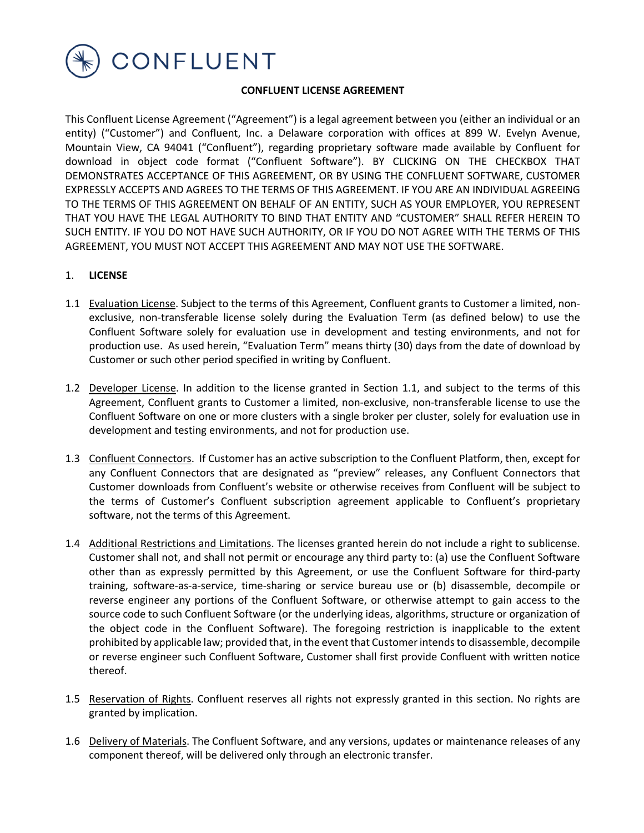

### **CONFLUENT LICENSE AGREEMENT**

This Confluent License Agreement ("Agreement") is a legal agreement between you (either an individual or an entity) ("Customer") and Confluent, Inc. a Delaware corporation with offices at 899 W. Evelyn Avenue, Mountain View, CA 94041 ("Confluent"), regarding proprietary software made available by Confluent for download in object code format ("Confluent Software"). BY CLICKING ON THE CHECKBOX THAT DEMONSTRATES ACCEPTANCE OF THIS AGREEMENT, OR BY USING THE CONFLUENT SOFTWARE, CUSTOMER EXPRESSLY ACCEPTS AND AGREES TO THE TERMS OF THIS AGREEMENT. IF YOU ARE AN INDIVIDUAL AGREEING TO THE TERMS OF THIS AGREEMENT ON BEHALF OF AN ENTITY, SUCH AS YOUR EMPLOYER, YOU REPRESENT THAT YOU HAVE THE LEGAL AUTHORITY TO BIND THAT ENTITY AND "CUSTOMER" SHALL REFER HEREIN TO SUCH ENTITY. IF YOU DO NOT HAVE SUCH AUTHORITY, OR IF YOU DO NOT AGREE WITH THE TERMS OF THIS AGREEMENT, YOU MUST NOT ACCEPT THIS AGREEMENT AND MAY NOT USE THE SOFTWARE.

#### 1. **LICENSE**

- 1.1 Evaluation License. Subject to the terms of this Agreement, Confluent grants to Customer a limited, nonexclusive, non-transferable license solely during the Evaluation Term (as defined below) to use the Confluent Software solely for evaluation use in development and testing environments, and not for production use. As used herein, "Evaluation Term" means thirty (30) days from the date of download by Customer or such other period specified in writing by Confluent.
- 1.2 Developer License. In addition to the license granted in Section 1.1, and subject to the terms of this Agreement, Confluent grants to Customer a limited, non-exclusive, non-transferable license to use the Confluent Software on one or more clusters with a single broker per cluster, solely for evaluation use in development and testing environments, and not for production use.
- 1.3 Confluent Connectors. If Customer has an active subscription to the Confluent Platform, then, except for any Confluent Connectors that are designated as "preview" releases, any Confluent Connectors that Customer downloads from Confluent's website or otherwise receives from Confluent will be subject to the terms of Customer's Confluent subscription agreement applicable to Confluent's proprietary software, not the terms of this Agreement.
- 1.4 Additional Restrictions and Limitations. The licenses granted herein do not include a right to sublicense. Customer shall not, and shall not permit or encourage any third party to: (a) use the Confluent Software other than as expressly permitted by this Agreement, or use the Confluent Software for third-party training, software-as-a-service, time-sharing or service bureau use or (b) disassemble, decompile or reverse engineer any portions of the Confluent Software, or otherwise attempt to gain access to the source code to such Confluent Software (or the underlying ideas, algorithms, structure or organization of the object code in the Confluent Software). The foregoing restriction is inapplicable to the extent prohibited by applicable law; provided that, in the event that Customer intends to disassemble, decompile or reverse engineer such Confluent Software, Customer shall first provide Confluent with written notice thereof.
- 1.5 Reservation of Rights. Confluent reserves all rights not expressly granted in this section. No rights are granted by implication.
- 1.6 Delivery of Materials. The Confluent Software, and any versions, updates or maintenance releases of any component thereof, will be delivered only through an electronic transfer.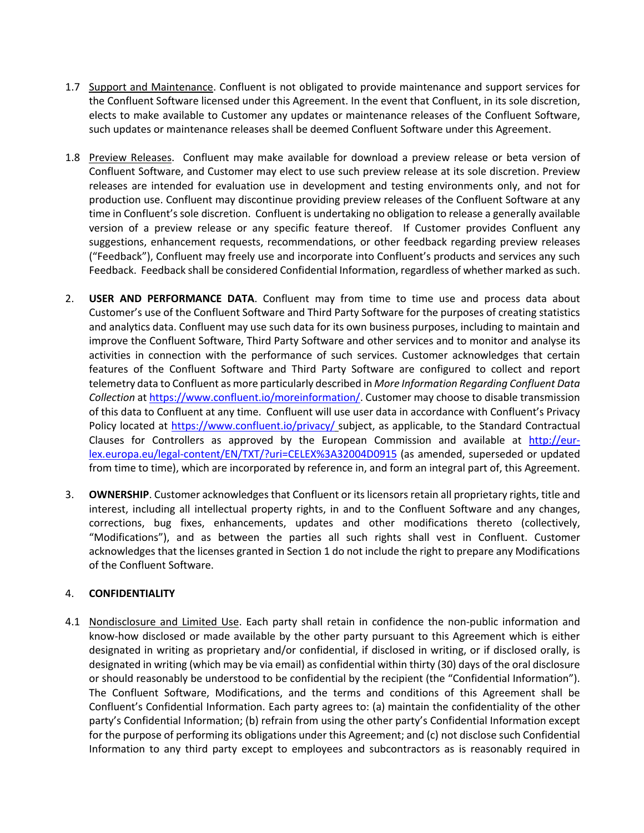- 1.7 Support and Maintenance. Confluent is not obligated to provide maintenance and support services for the Confluent Software licensed under this Agreement. In the event that Confluent, in its sole discretion, elects to make available to Customer any updates or maintenance releases of the Confluent Software, such updates or maintenance releases shall be deemed Confluent Software under this Agreement.
- 1.8 Preview Releases. Confluent may make available for download a preview release or beta version of Confluent Software, and Customer may elect to use such preview release at its sole discretion. Preview releases are intended for evaluation use in development and testing environments only, and not for production use. Confluent may discontinue providing preview releases of the Confluent Software at any time in Confluent's sole discretion. Confluent is undertaking no obligation to release a generally available version of a preview release or any specific feature thereof. If Customer provides Confluent any suggestions, enhancement requests, recommendations, or other feedback regarding preview releases ("Feedback"), Confluent may freely use and incorporate into Confluent's products and services any such Feedback. Feedback shall be considered Confidential Information, regardless of whether marked as such.
- 2. **USER AND PERFORMANCE DATA**. Confluent may from time to time use and process data about Customer's use of the Confluent Software and Third Party Software for the purposes of creating statistics and analytics data. Confluent may use such data for its own business purposes, including to maintain and improve the Confluent Software, Third Party Software and other services and to monitor and analyse its activities in connection with the performance of such services. Customer acknowledges that certain features of the Confluent Software and Third Party Software are configured to collect and report telemetry data to Confluent as more particularly described in *More Information Regarding Confluent Data Collection* at https://www.confluent.io/moreinformation/. Customer may choose to disable transmission of this data to Confluent at any time. Confluent will use user data in accordance with Confluent's Privacy Policy located at https://www.confluent.io/privacy/ subject, as applicable, to the Standard Contractual Clauses for Controllers as approved by the European Commission and available at http://eurlex.europa.eu/legal-content/EN/TXT/?uri=CELEX%3A32004D0915 (as amended, superseded or updated from time to time), which are incorporated by reference in, and form an integral part of, this Agreement.
- 3. **OWNERSHIP**. Customer acknowledges that Confluent or its licensors retain all proprietary rights, title and interest, including all intellectual property rights, in and to the Confluent Software and any changes, corrections, bug fixes, enhancements, updates and other modifications thereto (collectively, "Modifications"), and as between the parties all such rights shall vest in Confluent. Customer acknowledges that the licenses granted in Section 1 do not include the right to prepare any Modifications of the Confluent Software.

### 4. **CONFIDENTIALITY**

4.1 Nondisclosure and Limited Use. Each party shall retain in confidence the non-public information and know-how disclosed or made available by the other party pursuant to this Agreement which is either designated in writing as proprietary and/or confidential, if disclosed in writing, or if disclosed orally, is designated in writing (which may be via email) as confidential within thirty (30) days of the oral disclosure or should reasonably be understood to be confidential by the recipient (the "Confidential Information"). The Confluent Software, Modifications, and the terms and conditions of this Agreement shall be Confluent's Confidential Information. Each party agrees to: (a) maintain the confidentiality of the other party's Confidential Information; (b) refrain from using the other party's Confidential Information except for the purpose of performing its obligations under this Agreement; and (c) not disclose such Confidential Information to any third party except to employees and subcontractors as is reasonably required in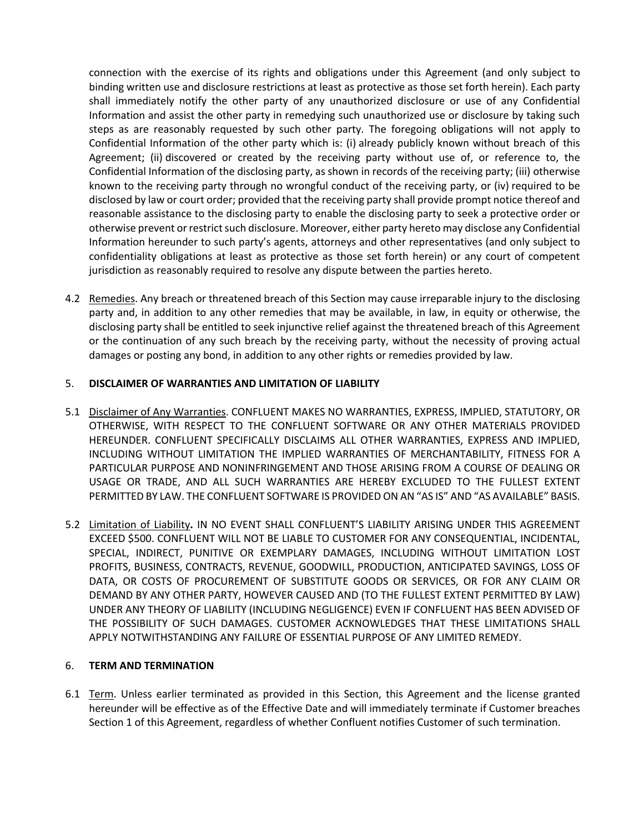connection with the exercise of its rights and obligations under this Agreement (and only subject to binding written use and disclosure restrictions at least as protective as those set forth herein). Each party shall immediately notify the other party of any unauthorized disclosure or use of any Confidential Information and assist the other party in remedying such unauthorized use or disclosure by taking such steps as are reasonably requested by such other party. The foregoing obligations will not apply to Confidential Information of the other party which is: (i) already publicly known without breach of this Agreement; (ii) discovered or created by the receiving party without use of, or reference to, the Confidential Information of the disclosing party, as shown in records of the receiving party; (iii) otherwise known to the receiving party through no wrongful conduct of the receiving party, or (iv) required to be disclosed by law or court order; provided that the receiving party shall provide prompt notice thereof and reasonable assistance to the disclosing party to enable the disclosing party to seek a protective order or otherwise prevent or restrict such disclosure. Moreover, either party hereto may disclose any Confidential Information hereunder to such party's agents, attorneys and other representatives (and only subject to confidentiality obligations at least as protective as those set forth herein) or any court of competent jurisdiction as reasonably required to resolve any dispute between the parties hereto.

4.2 Remedies. Any breach or threatened breach of this Section may cause irreparable injury to the disclosing party and, in addition to any other remedies that may be available, in law, in equity or otherwise, the disclosing party shall be entitled to seek injunctive relief against the threatened breach of this Agreement or the continuation of any such breach by the receiving party, without the necessity of proving actual damages or posting any bond, in addition to any other rights or remedies provided by law.

## 5. **DISCLAIMER OF WARRANTIES AND LIMITATION OF LIABILITY**

- 5.1 Disclaimer of Any Warranties. CONFLUENT MAKES NO WARRANTIES, EXPRESS, IMPLIED, STATUTORY, OR OTHERWISE, WITH RESPECT TO THE CONFLUENT SOFTWARE OR ANY OTHER MATERIALS PROVIDED HEREUNDER. CONFLUENT SPECIFICALLY DISCLAIMS ALL OTHER WARRANTIES, EXPRESS AND IMPLIED, INCLUDING WITHOUT LIMITATION THE IMPLIED WARRANTIES OF MERCHANTABILITY, FITNESS FOR A PARTICULAR PURPOSE AND NONINFRINGEMENT AND THOSE ARISING FROM A COURSE OF DEALING OR USAGE OR TRADE, AND ALL SUCH WARRANTIES ARE HEREBY EXCLUDED TO THE FULLEST EXTENT PERMITTED BY LAW. THE CONFLUENT SOFTWARE IS PROVIDED ON AN "AS IS" AND "AS AVAILABLE" BASIS.
- 5.2 Limitation of Liability**.** IN NO EVENT SHALL CONFLUENT'S LIABILITY ARISING UNDER THIS AGREEMENT EXCEED \$500. CONFLUENT WILL NOT BE LIABLE TO CUSTOMER FOR ANY CONSEQUENTIAL, INCIDENTAL, SPECIAL, INDIRECT, PUNITIVE OR EXEMPLARY DAMAGES, INCLUDING WITHOUT LIMITATION LOST PROFITS, BUSINESS, CONTRACTS, REVENUE, GOODWILL, PRODUCTION, ANTICIPATED SAVINGS, LOSS OF DATA, OR COSTS OF PROCUREMENT OF SUBSTITUTE GOODS OR SERVICES, OR FOR ANY CLAIM OR DEMAND BY ANY OTHER PARTY, HOWEVER CAUSED AND (TO THE FULLEST EXTENT PERMITTED BY LAW) UNDER ANY THEORY OF LIABILITY (INCLUDING NEGLIGENCE) EVEN IF CONFLUENT HAS BEEN ADVISED OF THE POSSIBILITY OF SUCH DAMAGES. CUSTOMER ACKNOWLEDGES THAT THESE LIMITATIONS SHALL APPLY NOTWITHSTANDING ANY FAILURE OF ESSENTIAL PURPOSE OF ANY LIMITED REMEDY.

### 6. **TERM AND TERMINATION**

6.1 Term. Unless earlier terminated as provided in this Section, this Agreement and the license granted hereunder will be effective as of the Effective Date and will immediately terminate if Customer breaches Section 1 of this Agreement, regardless of whether Confluent notifies Customer of such termination.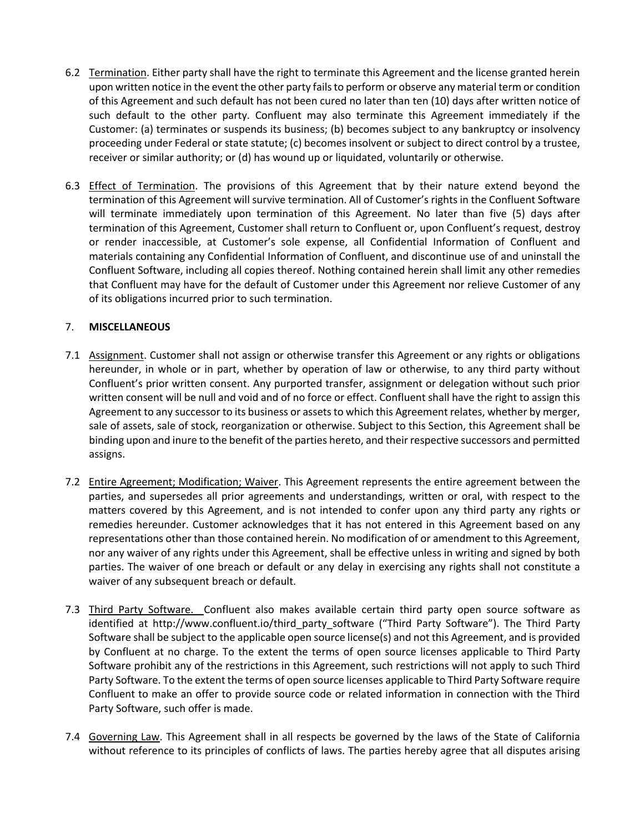- 6.2 Termination. Either party shall have the right to terminate this Agreement and the license granted herein upon written notice in the event the other party fails to perform or observe any material term or condition of this Agreement and such default has not been cured no later than ten (10) days after written notice of such default to the other party. Confluent may also terminate this Agreement immediately if the Customer: (a) terminates or suspends its business; (b) becomes subject to any bankruptcy or insolvency proceeding under Federal or state statute; (c) becomes insolvent or subject to direct control by a trustee, receiver or similar authority; or (d) has wound up or liquidated, voluntarily or otherwise.
- 6.3 Effect of Termination. The provisions of this Agreement that by their nature extend beyond the termination of this Agreement will survive termination. All of Customer's rights in the Confluent Software will terminate immediately upon termination of this Agreement. No later than five (5) days after termination of this Agreement, Customer shall return to Confluent or, upon Confluent's request, destroy or render inaccessible, at Customer's sole expense, all Confidential Information of Confluent and materials containing any Confidential Information of Confluent, and discontinue use of and uninstall the Confluent Software, including all copies thereof. Nothing contained herein shall limit any other remedies that Confluent may have for the default of Customer under this Agreement nor relieve Customer of any of its obligations incurred prior to such termination.

# 7. **MISCELLANEOUS**

- 7.1 Assignment. Customer shall not assign or otherwise transfer this Agreement or any rights or obligations hereunder, in whole or in part, whether by operation of law or otherwise, to any third party without Confluent's prior written consent. Any purported transfer, assignment or delegation without such prior written consent will be null and void and of no force or effect. Confluent shall have the right to assign this Agreement to any successor to its business or assets to which this Agreement relates, whether by merger, sale of assets, sale of stock, reorganization or otherwise. Subject to this Section, this Agreement shall be binding upon and inure to the benefit of the parties hereto, and their respective successors and permitted assigns.
- 7.2 Entire Agreement; Modification; Waiver. This Agreement represents the entire agreement between the parties, and supersedes all prior agreements and understandings, written or oral, with respect to the matters covered by this Agreement, and is not intended to confer upon any third party any rights or remedies hereunder. Customer acknowledges that it has not entered in this Agreement based on any representations other than those contained herein. No modification of or amendment to this Agreement, nor any waiver of any rights under this Agreement, shall be effective unless in writing and signed by both parties. The waiver of one breach or default or any delay in exercising any rights shall not constitute a waiver of any subsequent breach or default.
- 7.3 Third Party Software. Confluent also makes available certain third party open source software as identified at http://www.confluent.io/third\_party\_software ("Third Party Software"). The Third Party Software shall be subject to the applicable open source license(s) and not this Agreement, and is provided by Confluent at no charge. To the extent the terms of open source licenses applicable to Third Party Software prohibit any of the restrictions in this Agreement, such restrictions will not apply to such Third Party Software. To the extent the terms of open source licenses applicable to Third Party Software require Confluent to make an offer to provide source code or related information in connection with the Third Party Software, such offer is made.
- 7.4 Governing Law. This Agreement shall in all respects be governed by the laws of the State of California without reference to its principles of conflicts of laws. The parties hereby agree that all disputes arising